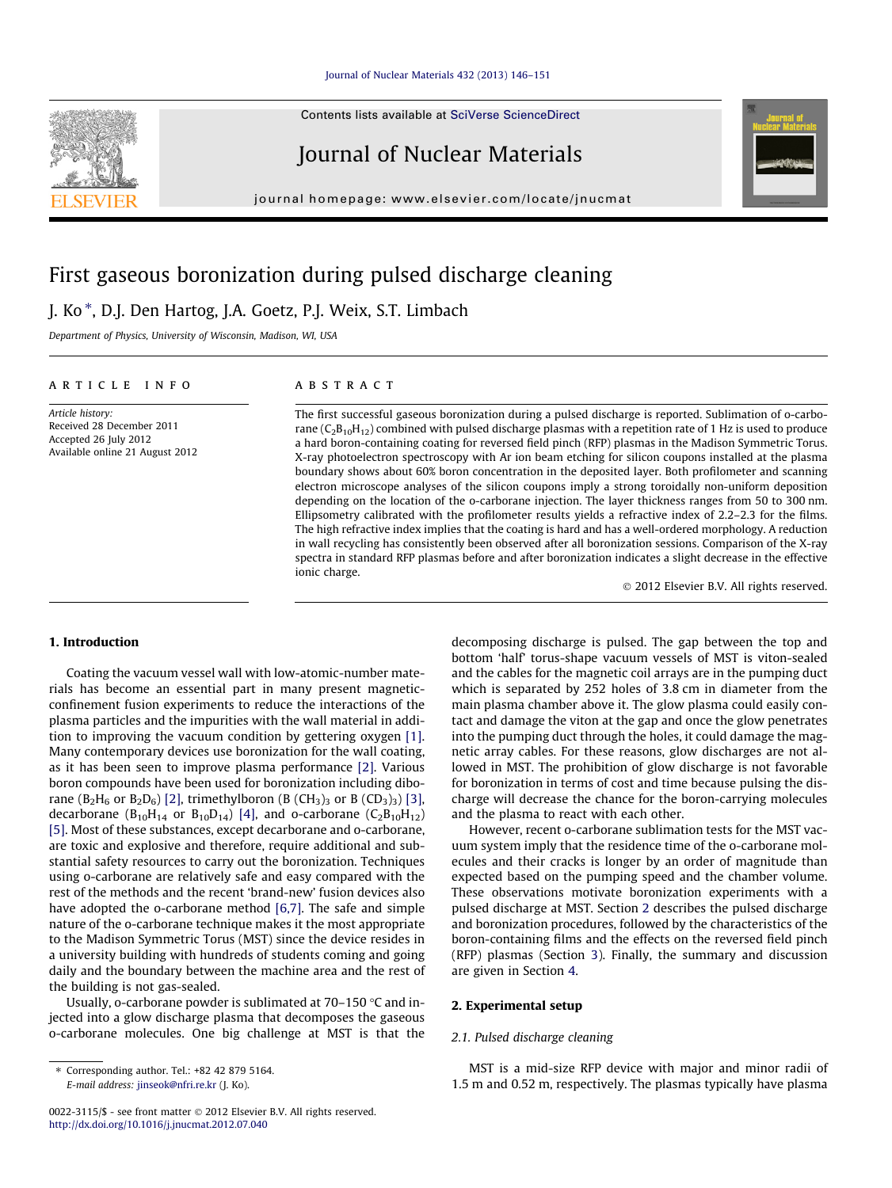Contents lists available at [SciVerse ScienceDirect](http://www.sciencedirect.com/science/journal/00223115)

## Journal of Nuclear Materials

journal homepage: [www.elsevier.com/locate/jnucmat](http://www.elsevier.com/locate/jnucmat)

# First gaseous boronization during pulsed discharge cleaning

J. Ko \*, D.J. Den Hartog, J.A. Goetz, P.J. Weix, S.T. Limbach

Department of Physics, University of Wisconsin, Madison, WI, USA

## article info

Article history: Received 28 December 2011 Accepted 26 July 2012 Available online 21 August 2012

## **ABSTRACT**

The first successful gaseous boronization during a pulsed discharge is reported. Sublimation of o-carborane  $(C_2B_{10}H_{12})$  combined with pulsed discharge plasmas with a repetition rate of 1 Hz is used to produce a hard boron-containing coating for reversed field pinch (RFP) plasmas in the Madison Symmetric Torus. X-ray photoelectron spectroscopy with Ar ion beam etching for silicon coupons installed at the plasma boundary shows about 60% boron concentration in the deposited layer. Both profilometer and scanning electron microscope analyses of the silicon coupons imply a strong toroidally non-uniform deposition depending on the location of the o-carborane injection. The layer thickness ranges from 50 to 300 nm. Ellipsometry calibrated with the profilometer results yields a refractive index of 2.2–2.3 for the films. The high refractive index implies that the coating is hard and has a well-ordered morphology. A reduction in wall recycling has consistently been observed after all boronization sessions. Comparison of the X-ray spectra in standard RFP plasmas before and after boronization indicates a slight decrease in the effective ionic charge.

- 2012 Elsevier B.V. All rights reserved.

#### 1. Introduction

Coating the vacuum vessel wall with low-atomic-number materials has become an essential part in many present magneticconfinement fusion experiments to reduce the interactions of the plasma particles and the impurities with the wall material in addition to improving the vacuum condition by gettering oxygen [\[1\].](#page-5-0) Many contemporary devices use boronization for the wall coating, as it has been seen to improve plasma performance [\[2\].](#page-5-0) Various boron compounds have been used for boronization including dibo-rane (B<sub>2</sub>H<sub>6</sub> or B<sub>2</sub>D<sub>6</sub>) [\[2\],](#page-5-0) trimethylboron (B (CH<sub>3</sub>)<sub>3</sub> or B (CD<sub>3</sub>)<sub>3</sub>) [\[3\],](#page-5-0) decarborane  $(B_{10}H_{14}$  or  $B_{10}D_{14}$ ) [\[4\]](#page-5-0), and o-carborane  $(C_{2}B_{10}H_{12})$ [\[5\]](#page-5-0). Most of these substances, except decarborane and o-carborane, are toxic and explosive and therefore, require additional and substantial safety resources to carry out the boronization. Techniques using o-carborane are relatively safe and easy compared with the rest of the methods and the recent 'brand-new' fusion devices also have adopted the o-carborane method [\[6,7\]](#page-5-0). The safe and simple nature of the o-carborane technique makes it the most appropriate to the Madison Symmetric Torus (MST) since the device resides in a university building with hundreds of students coming and going daily and the boundary between the machine area and the rest of the building is not gas-sealed.

Usually, o-carborane powder is sublimated at  $70-150$  °C and injected into a glow discharge plasma that decomposes the gaseous o-carborane molecules. One big challenge at MST is that the

E-mail address: [jinseok@nfri.re.kr](mailto:jinseok@nfri.re.kr) (J. Ko).

decomposing discharge is pulsed. The gap between the top and bottom 'half' torus-shape vacuum vessels of MST is viton-sealed and the cables for the magnetic coil arrays are in the pumping duct which is separated by 252 holes of 3.8 cm in diameter from the main plasma chamber above it. The glow plasma could easily contact and damage the viton at the gap and once the glow penetrates into the pumping duct through the holes, it could damage the magnetic array cables. For these reasons, glow discharges are not allowed in MST. The prohibition of glow discharge is not favorable for boronization in terms of cost and time because pulsing the discharge will decrease the chance for the boron-carrying molecules and the plasma to react with each other.

However, recent o-carborane sublimation tests for the MST vacuum system imply that the residence time of the o-carborane molecules and their cracks is longer by an order of magnitude than expected based on the pumping speed and the chamber volume. These observations motivate boronization experiments with a pulsed discharge at MST. Section 2 describes the pulsed discharge and boronization procedures, followed by the characteristics of the boron-containing films and the effects on the reversed field pinch (RFP) plasmas (Section [3\)](#page-2-0). Finally, the summary and discussion are given in Section [4](#page-4-0).

## 2. Experimental setup

## 2.1. Pulsed discharge cleaning

MST is a mid-size RFP device with major and minor radii of 1.5 m and 0.52 m, respectively. The plasmas typically have plasma

<span id="page-0-0"></span>

<sup>⇑</sup> Corresponding author. Tel.: +82 42 879 5164.

<sup>0022-3115/\$ -</sup> see front matter © 2012 Elsevier B.V. All rights reserved. <http://dx.doi.org/10.1016/j.jnucmat.2012.07.040>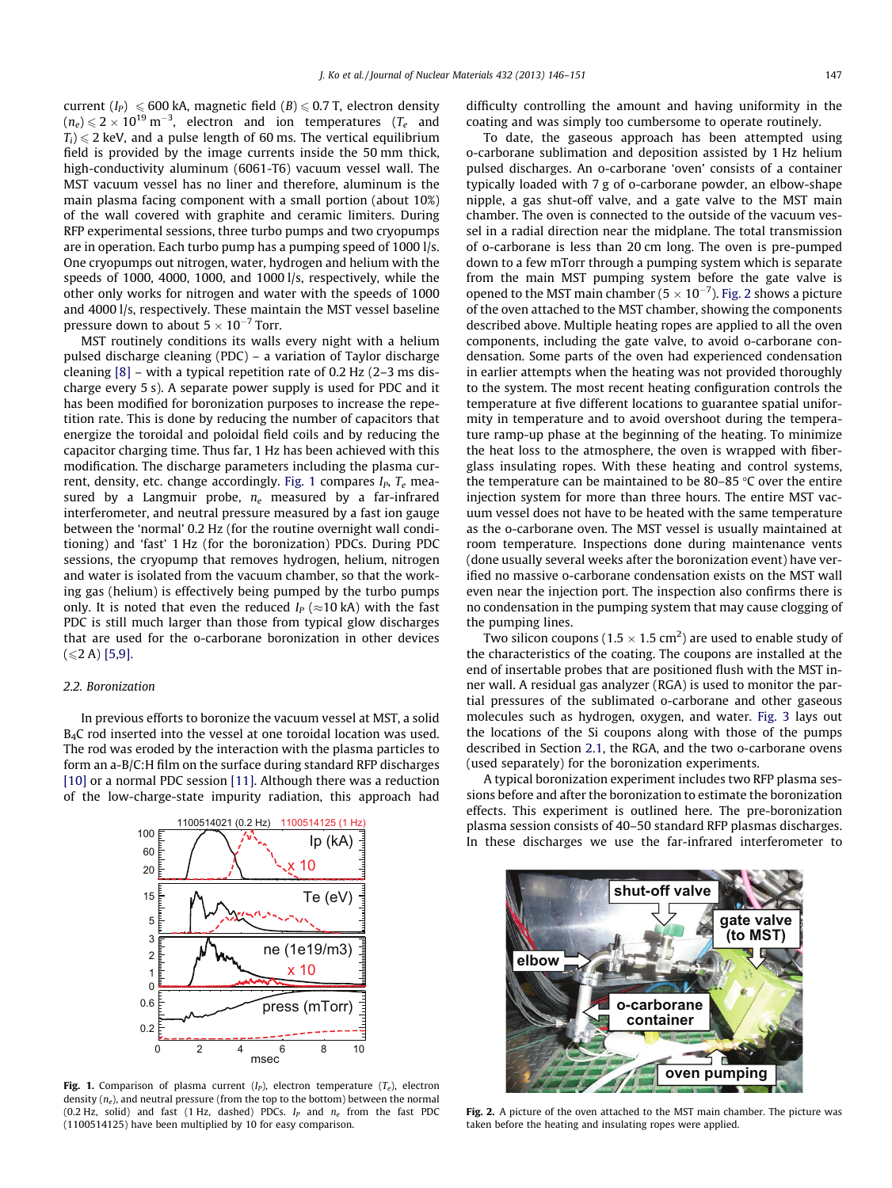current  $(I_P) \le 600$  kA, magnetic field  $(B) \le 0.7$  T, electron density  $(n_e)\,{\leqslant}\,2\times10^{19}\,\mathrm{m}^{-3},$  electron and ion temperatures ( $T_e$  and  $T_i$ )  $\leq$  2 keV, and a pulse length of 60 ms. The vertical equilibrium field is provided by the image currents inside the 50 mm thick, high-conductivity aluminum (6061-T6) vacuum vessel wall. The MST vacuum vessel has no liner and therefore, aluminum is the main plasma facing component with a small portion (about 10%) of the wall covered with graphite and ceramic limiters. During RFP experimental sessions, three turbo pumps and two cryopumps are in operation. Each turbo pump has a pumping speed of 1000 l/s. One cryopumps out nitrogen, water, hydrogen and helium with the speeds of 1000, 4000, 1000, and 1000 l/s, respectively, while the other only works for nitrogen and water with the speeds of 1000 and 4000 l/s, respectively. These maintain the MST vessel baseline pressure down to about  $5 \times 10^{-7}$  Torr.

MST routinely conditions its walls every night with a helium pulsed discharge cleaning (PDC) – a variation of Taylor discharge cleaning  $[8]$  – with a typical repetition rate of 0.2 Hz  $(2-3 \text{ ms dis-}$ charge every 5 s). A separate power supply is used for PDC and it has been modified for boronization purposes to increase the repetition rate. This is done by reducing the number of capacitors that energize the toroidal and poloidal field coils and by reducing the capacitor charging time. Thus far, 1 Hz has been achieved with this modification. The discharge parameters including the plasma current, density, etc. change accordingly. Fig. 1 compares  $I<sub>P</sub>$ ,  $T<sub>e</sub>$  measured by a Langmuir probe,  $n_e$  measured by a far-infrared interferometer, and neutral pressure measured by a fast ion gauge between the 'normal' 0.2 Hz (for the routine overnight wall conditioning) and 'fast' 1 Hz (for the boronization) PDCs. During PDC sessions, the cryopump that removes hydrogen, helium, nitrogen and water is isolated from the vacuum chamber, so that the working gas (helium) is effectively being pumped by the turbo pumps only. It is noted that even the reduced  $I_P$  ( $\approx$ 10 kA) with the fast PDC is still much larger than those from typical glow discharges that are used for the o-carborane boronization in other devices  $(\leq 2 A)$  [\[5,9\]](#page-5-0).

## 2.2. Boronization

In previous efforts to boronize the vacuum vessel at MST, a solid B4C rod inserted into the vessel at one toroidal location was used. The rod was eroded by the interaction with the plasma particles to form an a-B/C:H film on the surface during standard RFP discharges [\[10\]](#page-5-0) or a normal PDC session [\[11\].](#page-5-0) Although there was a reduction of the low-charge-state impurity radiation, this approach had



Fig. 1. Comparison of plasma current  $(I_P)$ , electron temperature  $(T_e)$ , electron density  $(n_e)$ , and neutral pressure (from the top to the bottom) between the normal (0.2 Hz, solid) and fast (1 Hz, dashed) PDCs.  $I_P$  and  $n_e$  from the fast PDC (1100514125) have been multiplied by 10 for easy comparison.

difficulty controlling the amount and having uniformity in the coating and was simply too cumbersome to operate routinely.

To date, the gaseous approach has been attempted using o-carborane sublimation and deposition assisted by 1 Hz helium pulsed discharges. An o-carborane 'oven' consists of a container typically loaded with 7 g of o-carborane powder, an elbow-shape nipple, a gas shut-off valve, and a gate valve to the MST main chamber. The oven is connected to the outside of the vacuum vessel in a radial direction near the midplane. The total transmission of o-carborane is less than 20 cm long. The oven is pre-pumped down to a few mTorr through a pumping system which is separate from the main MST pumping system before the gate valve is opened to the MST main chamber (5  $\times$  10<sup>-7</sup>). Fig. 2 shows a picture of the oven attached to the MST chamber, showing the components described above. Multiple heating ropes are applied to all the oven components, including the gate valve, to avoid o-carborane condensation. Some parts of the oven had experienced condensation in earlier attempts when the heating was not provided thoroughly to the system. The most recent heating configuration controls the temperature at five different locations to guarantee spatial uniformity in temperature and to avoid overshoot during the temperature ramp-up phase at the beginning of the heating. To minimize the heat loss to the atmosphere, the oven is wrapped with fiberglass insulating ropes. With these heating and control systems, the temperature can be maintained to be 80–85  $\degree$ C over the entire injection system for more than three hours. The entire MST vacuum vessel does not have to be heated with the same temperature as the o-carborane oven. The MST vessel is usually maintained at room temperature. Inspections done during maintenance vents (done usually several weeks after the boronization event) have verified no massive o-carborane condensation exists on the MST wall even near the injection port. The inspection also confirms there is no condensation in the pumping system that may cause clogging of the pumping lines.

Two silicon coupons (1.5  $\times$  1.5 cm<sup>2</sup>) are used to enable study of the characteristics of the coating. The coupons are installed at the end of insertable probes that are positioned flush with the MST inner wall. A residual gas analyzer (RGA) is used to monitor the partial pressures of the sublimated o-carborane and other gaseous molecules such as hydrogen, oxygen, and water. [Fig. 3](#page-2-0) lays out the locations of the Si coupons along with those of the pumps described in Section [2.1,](#page-0-0) the RGA, and the two o-carborane ovens (used separately) for the boronization experiments.

A typical boronization experiment includes two RFP plasma sessions before and after the boronization to estimate the boronization effects. This experiment is outlined here. The pre-boronization plasma session consists of 40–50 standard RFP plasmas discharges. In these discharges we use the far-infrared interferometer to



Fig. 2. A picture of the oven attached to the MST main chamber. The picture was taken before the heating and insulating ropes were applied.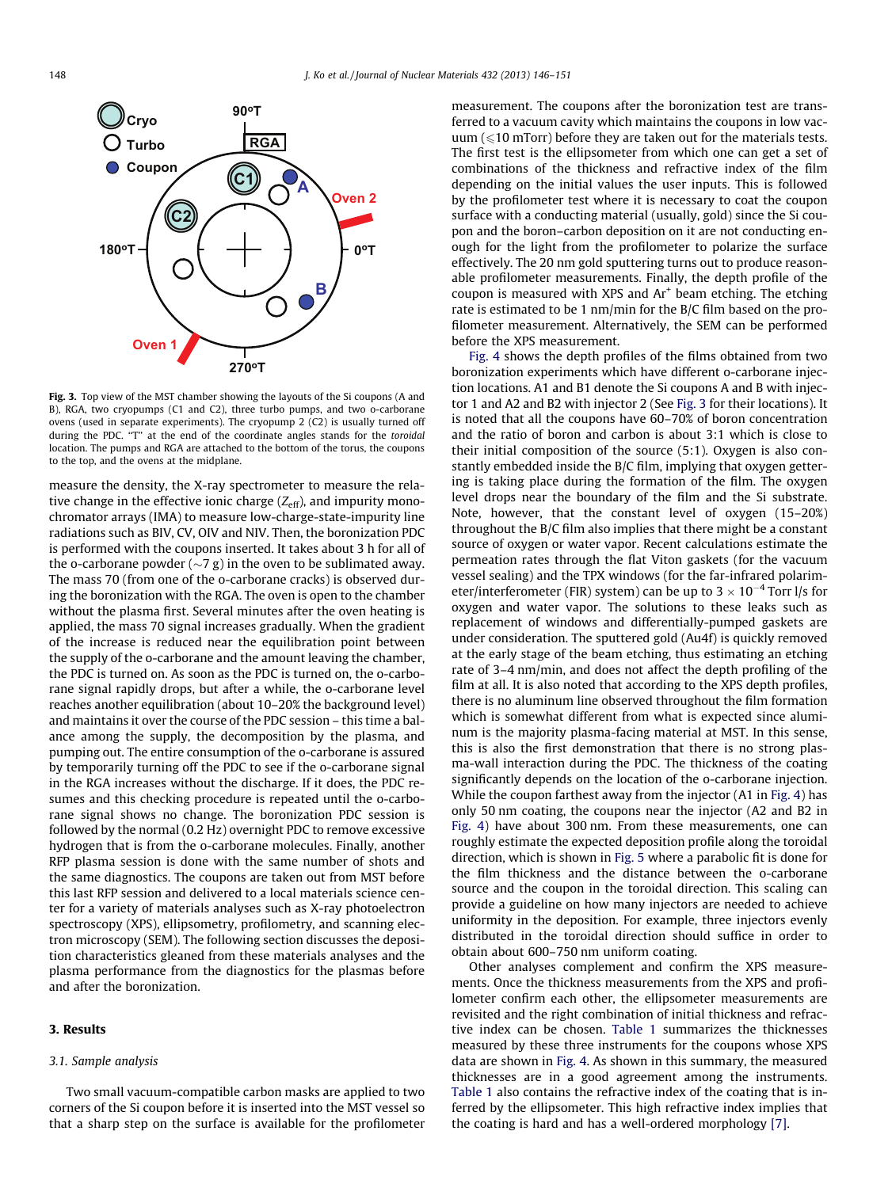<span id="page-2-0"></span>

Fig. 3. Top view of the MST chamber showing the layouts of the Si coupons (A and B), RGA, two cryopumps (C1 and C2), three turbo pumps, and two o-carborane ovens (used in separate experiments). The cryopump 2 (C2) is usually turned off during the PDC. "T" at the end of the coordinate angles stands for the toroidal location. The pumps and RGA are attached to the bottom of the torus, the coupons to the top, and the ovens at the midplane.

measure the density, the X-ray spectrometer to measure the relative change in the effective ionic charge  $(Z_{\text{eff}})$ , and impurity monochromator arrays (IMA) to measure low-charge-state-impurity line radiations such as BIV, CV, OIV and NIV. Then, the boronization PDC is performed with the coupons inserted. It takes about 3 h for all of the o-carborane powder  $({\sim}7 \text{ g})$  in the oven to be sublimated away. The mass 70 (from one of the o-carborane cracks) is observed during the boronization with the RGA. The oven is open to the chamber without the plasma first. Several minutes after the oven heating is applied, the mass 70 signal increases gradually. When the gradient of the increase is reduced near the equilibration point between the supply of the o-carborane and the amount leaving the chamber, the PDC is turned on. As soon as the PDC is turned on, the o-carborane signal rapidly drops, but after a while, the o-carborane level reaches another equilibration (about 10–20% the background level) and maintains it over the course of the PDC session – this time a balance among the supply, the decomposition by the plasma, and pumping out. The entire consumption of the o-carborane is assured by temporarily turning off the PDC to see if the o-carborane signal in the RGA increases without the discharge. If it does, the PDC resumes and this checking procedure is repeated until the o-carborane signal shows no change. The boronization PDC session is followed by the normal (0.2 Hz) overnight PDC to remove excessive hydrogen that is from the o-carborane molecules. Finally, another RFP plasma session is done with the same number of shots and the same diagnostics. The coupons are taken out from MST before this last RFP session and delivered to a local materials science center for a variety of materials analyses such as X-ray photoelectron spectroscopy (XPS), ellipsometry, profilometry, and scanning electron microscopy (SEM). The following section discusses the deposition characteristics gleaned from these materials analyses and the plasma performance from the diagnostics for the plasmas before and after the boronization.

## 3. Results

## 3.1. Sample analysis

Two small vacuum-compatible carbon masks are applied to two corners of the Si coupon before it is inserted into the MST vessel so that a sharp step on the surface is available for the profilometer measurement. The coupons after the boronization test are transferred to a vacuum cavity which maintains the coupons in low vacuum ( $\leq 10$  mTorr) before they are taken out for the materials tests. The first test is the ellipsometer from which one can get a set of combinations of the thickness and refractive index of the film depending on the initial values the user inputs. This is followed by the profilometer test where it is necessary to coat the coupon surface with a conducting material (usually, gold) since the Si coupon and the boron–carbon deposition on it are not conducting enough for the light from the profilometer to polarize the surface effectively. The 20 nm gold sputtering turns out to produce reasonable profilometer measurements. Finally, the depth profile of the coupon is measured with XPS and  $Ar<sup>+</sup>$  beam etching. The etching rate is estimated to be 1 nm/min for the B/C film based on the profilometer measurement. Alternatively, the SEM can be performed before the XPS measurement.

[Fig. 4](#page-3-0) shows the depth profiles of the films obtained from two boronization experiments which have different o-carborane injection locations. A1 and B1 denote the Si coupons A and B with injector 1 and A2 and B2 with injector 2 (See Fig. 3 for their locations). It is noted that all the coupons have 60–70% of boron concentration and the ratio of boron and carbon is about 3:1 which is close to their initial composition of the source (5:1). Oxygen is also constantly embedded inside the B/C film, implying that oxygen gettering is taking place during the formation of the film. The oxygen level drops near the boundary of the film and the Si substrate. Note, however, that the constant level of oxygen (15–20%) throughout the B/C film also implies that there might be a constant source of oxygen or water vapor. Recent calculations estimate the permeation rates through the flat Viton gaskets (for the vacuum vessel sealing) and the TPX windows (for the far-infrared polarimeter/interferometer (FIR) system) can be up to  $3 \times 10^{-4}$  Torr l/s for oxygen and water vapor. The solutions to these leaks such as replacement of windows and differentially-pumped gaskets are under consideration. The sputtered gold (Au4f) is quickly removed at the early stage of the beam etching, thus estimating an etching rate of 3–4 nm/min, and does not affect the depth profiling of the film at all. It is also noted that according to the XPS depth profiles, there is no aluminum line observed throughout the film formation which is somewhat different from what is expected since aluminum is the majority plasma-facing material at MST. In this sense, this is also the first demonstration that there is no strong plasma-wall interaction during the PDC. The thickness of the coating significantly depends on the location of the o-carborane injection. While the coupon farthest away from the injector (A1 in [Fig. 4\)](#page-3-0) has only 50 nm coating, the coupons near the injector (A2 and B2 in [Fig. 4](#page-3-0)) have about 300 nm. From these measurements, one can roughly estimate the expected deposition profile along the toroidal direction, which is shown in [Fig. 5](#page-3-0) where a parabolic fit is done for the film thickness and the distance between the o-carborane source and the coupon in the toroidal direction. This scaling can provide a guideline on how many injectors are needed to achieve uniformity in the deposition. For example, three injectors evenly distributed in the toroidal direction should suffice in order to obtain about 600–750 nm uniform coating.

Other analyses complement and confirm the XPS measurements. Once the thickness measurements from the XPS and profilometer confirm each other, the ellipsometer measurements are revisited and the right combination of initial thickness and refractive index can be chosen. [Table 1](#page-3-0) summarizes the thicknesses measured by these three instruments for the coupons whose XPS data are shown in [Fig. 4.](#page-3-0) As shown in this summary, the measured thicknesses are in a good agreement among the instruments. [Table 1](#page-3-0) also contains the refractive index of the coating that is inferred by the ellipsometer. This high refractive index implies that the coating is hard and has a well-ordered morphology [\[7\].](#page-5-0)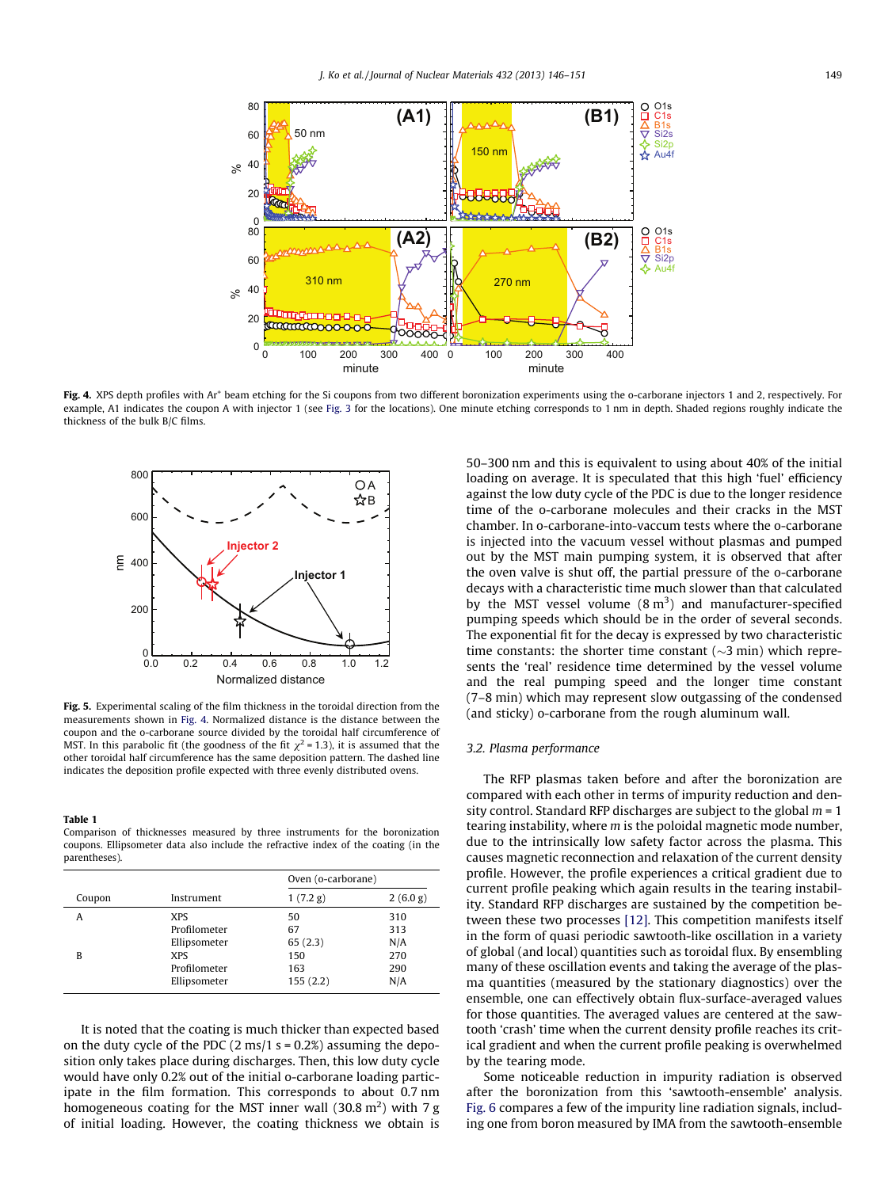<span id="page-3-0"></span>

Fig. 4. XPS depth profiles with Ar<sup>+</sup> beam etching for the Si coupons from two different boronization experiments using the o-carborane injectors 1 and 2, respectively. For example, A1 indicates the coupon A with injector 1 (see [Fig. 3](#page-2-0) for the locations). One minute etching corresponds to 1 nm in depth. Shaded regions roughly indicate the thickness of the bulk B/C films.



Fig. 5. Experimental scaling of the film thickness in the toroidal direction from the measurements shown in Fig. 4. Normalized distance is the distance between the coupon and the o-carborane source divided by the toroidal half circumference of MST. In this parabolic fit (the goodness of the fit  $\chi^2$  = 1.3), it is assumed that the other toroidal half circumference has the same deposition pattern. The dashed line indicates the deposition profile expected with three evenly distributed ovens.

#### Table 1

Comparison of thicknesses measured by three instruments for the boronization coupons. Ellipsometer data also include the refractive index of the coating (in the parentheses).

|        |                                                                                          | Oven (o-carborane)                            |                                        |
|--------|------------------------------------------------------------------------------------------|-----------------------------------------------|----------------------------------------|
| Coupon | Instrument                                                                               | 1(7.2 g)                                      | 2(6.0 g)                               |
| А<br>B | <b>XPS</b><br>Profilometer<br>Ellipsometer<br><b>XPS</b><br>Profilometer<br>Ellipsometer | 50<br>67<br>65(2.3)<br>150<br>163<br>155(2.2) | 310<br>313<br>N/A<br>270<br>290<br>N/A |

It is noted that the coating is much thicker than expected based on the duty cycle of the PDC  $(2 \text{ ms}/1 \text{ s} = 0.2\%)$  assuming the deposition only takes place during discharges. Then, this low duty cycle would have only 0.2% out of the initial o-carborane loading participate in the film formation. This corresponds to about 0.7 nm homogeneous coating for the MST inner wall (30.8 m<sup>2</sup>) with 7 g of initial loading. However, the coating thickness we obtain is 50–300 nm and this is equivalent to using about 40% of the initial loading on average. It is speculated that this high 'fuel' efficiency against the low duty cycle of the PDC is due to the longer residence time of the o-carborane molecules and their cracks in the MST chamber. In o-carborane-into-vaccum tests where the o-carborane is injected into the vacuum vessel without plasmas and pumped out by the MST main pumping system, it is observed that after the oven valve is shut off, the partial pressure of the o-carborane decays with a characteristic time much slower than that calculated by the MST vessel volume  $(8 \text{ m}^3)$  and manufacturer-specified pumping speeds which should be in the order of several seconds. The exponential fit for the decay is expressed by two characteristic time constants: the shorter time constant  $(\sim 3 \text{ min})$  which represents the 'real' residence time determined by the vessel volume and the real pumping speed and the longer time constant (7–8 min) which may represent slow outgassing of the condensed (and sticky) o-carborane from the rough aluminum wall.

## 3.2. Plasma performance

The RFP plasmas taken before and after the boronization are compared with each other in terms of impurity reduction and density control. Standard RFP discharges are subject to the global  $m = 1$ tearing instability, where  $m$  is the poloidal magnetic mode number, due to the intrinsically low safety factor across the plasma. This causes magnetic reconnection and relaxation of the current density profile. However, the profile experiences a critical gradient due to current profile peaking which again results in the tearing instability. Standard RFP discharges are sustained by the competition between these two processes [\[12\].](#page-5-0) This competition manifests itself in the form of quasi periodic sawtooth-like oscillation in a variety of global (and local) quantities such as toroidal flux. By ensembling many of these oscillation events and taking the average of the plasma quantities (measured by the stationary diagnostics) over the ensemble, one can effectively obtain flux-surface-averaged values for those quantities. The averaged values are centered at the sawtooth 'crash' time when the current density profile reaches its critical gradient and when the current profile peaking is overwhelmed by the tearing mode.

Some noticeable reduction in impurity radiation is observed after the boronization from this 'sawtooth-ensemble' analysis. [Fig. 6](#page-4-0) compares a few of the impurity line radiation signals, including one from boron measured by IMA from the sawtooth-ensemble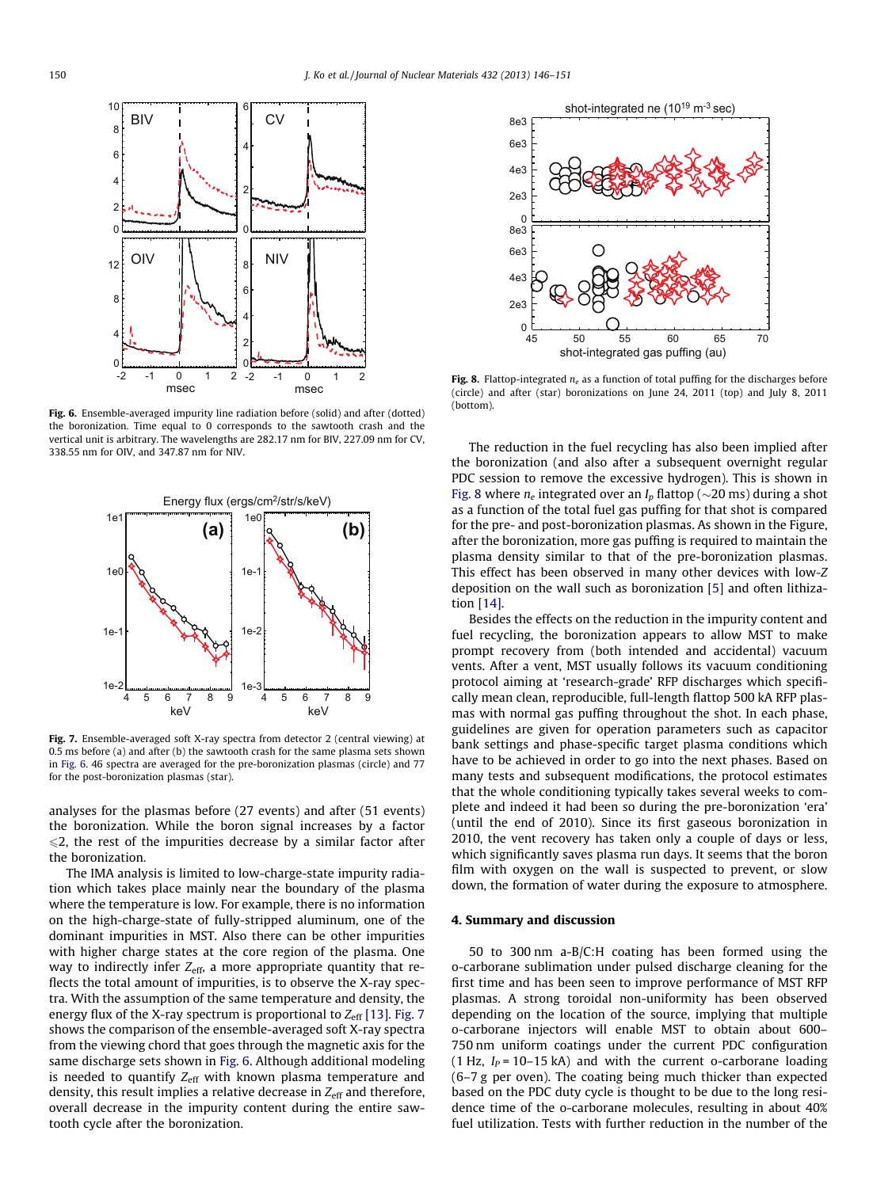<span id="page-4-0"></span>

Fig. 6. Ensemble-averaged impurity line radiation before (solid) and after (dotted) the boronization. Time equal to 0 corresponds to the sawtooth crash and the vertical unit is arbitrary. The wavelengths are 282.17 nm for BIV, 227.09 nm for CV, 338.55 nm for OIV, and 347.87 nm for NIV.



Fig. 7. Ensemble-averaged soft X-ray spectra from detector 2 (central viewing) at 0.5 ms before (a) and after (b) the sawtooth crash for the same plasma sets shown in Fig. 6. 46 spectra are averaged for the pre-boronization plasmas (circle) and 77 for the post-boronization plasmas (star).

analyses for the plasmas before (27 events) and after (51 events) the boronization. While the boron signal increases by a factor  $\leq$ 2, the rest of the impurities decrease by a similar factor after the boronization.

The IMA analysis is limited to low-charge-state impurity radiation which takes place mainly near the boundary of the plasma where the temperature is low. For example, there is no information on the high-charge-state of fully-stripped aluminum, one of the dominant impurities in MST. Also there can be other impurities with higher charge states at the core region of the plasma. One way to indirectly infer  $Z_{\text{eff}}$ , a more appropriate quantity that reflects the total amount of impurities, is to observe the X-ray spectra. With the assumption of the same temperature and density, the energy flux of the X-ray spectrum is proportional to  $Z_{\text{eff}}$  [\[13\]](#page-5-0). Fig. 7 shows the comparison of the ensemble-averaged soft X-ray spectra from the viewing chord that goes through the magnetic axis for the same discharge sets shown in Fig. 6. Although additional modeling is needed to quantify  $Z_{\text{eff}}$  with known plasma temperature and density, this result implies a relative decrease in  $Z_{\text{eff}}$  and therefore, overall decrease in the impurity content during the entire sawtooth cycle after the boronization.



Fig. 8. Flattop-integrated  $n_e$  as a function of total puffing for the discharges before (circle) and after (star) boronizations on June 24, 2011 (top) and July 8, 2011 (bottom).

The reduction in the fuel recycling has also been implied after the boronization (and also after a subsequent overnight regular PDC session to remove the excessive hydrogen). This is shown in Fig. 8 where  $n_e$  integrated over an  $I_p$  flattop ( $\sim$ 20 ms) during a shot as a function of the total fuel gas puffing for that shot is compared for the pre- and post-boronization plasmas. As shown in the Figure, after the boronization, more gas puffing is required to maintain the plasma density similar to that of the pre-boronization plasmas. This effect has been observed in many other devices with low-Z deposition on the wall such as boronization [\[5\]](#page-5-0) and often lithization [\[14\].](#page-5-0)

Besides the effects on the reduction in the impurity content and fuel recycling, the boronization appears to allow MST to make prompt recovery from (both intended and accidental) vacuum vents. After a vent, MST usually follows its vacuum conditioning protocol aiming at 'research-grade' RFP discharges which specifically mean clean, reproducible, full-length flattop 500 kA RFP plasmas with normal gas puffing throughout the shot. In each phase, guidelines are given for operation parameters such as capacitor bank settings and phase-specific target plasma conditions which have to be achieved in order to go into the next phases. Based on many tests and subsequent modifications, the protocol estimates that the whole conditioning typically takes several weeks to complete and indeed it had been so during the pre-boronization 'era' (until the end of 2010). Since its first gaseous boronization in 2010, the vent recovery has taken only a couple of days or less, which significantly saves plasma run days. It seems that the boron film with oxygen on the wall is suspected to prevent, or slow down, the formation of water during the exposure to atmosphere.

#### 4. Summary and discussion

50 to 300 nm a-B/C:H coating has been formed using the o-carborane sublimation under pulsed discharge cleaning for the first time and has been seen to improve performance of MST RFP plasmas. A strong toroidal non-uniformity has been observed depending on the location of the source, implying that multiple o-carborane injectors will enable MST to obtain about 600– 750 nm uniform coatings under the current PDC configuration (1 Hz,  $I_P$  = 10–15 kA) and with the current o-carborane loading (6–7 g per oven). The coating being much thicker than expected based on the PDC duty cycle is thought to be due to the long residence time of the o-carborane molecules, resulting in about 40% fuel utilization. Tests with further reduction in the number of the